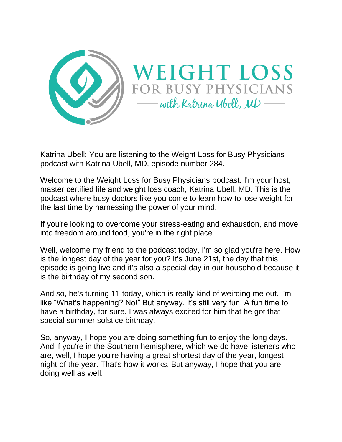

Katrina Ubell: You are listening to the Weight Loss for Busy Physicians podcast with Katrina Ubell, MD, episode number 284.

Welcome to the Weight Loss for Busy Physicians podcast. I'm your host, master certified life and weight loss coach, Katrina Ubell, MD. This is the podcast where busy doctors like you come to learn how to lose weight for the last time by harnessing the power of your mind.

If you're looking to overcome your stress-eating and exhaustion, and move into freedom around food, you're in the right place.

Well, welcome my friend to the podcast today, I'm so glad you're here. How is the longest day of the year for you? It's June 21st, the day that this episode is going live and it's also a special day in our household because it is the birthday of my second son.

And so, he's turning 11 today, which is really kind of weirding me out. I'm like "What's happening? No!" But anyway, it's still very fun. A fun time to have a birthday, for sure. I was always excited for him that he got that special summer solstice birthday.

So, anyway, I hope you are doing something fun to enjoy the long days. And if you're in the Southern hemisphere, which we do have listeners who are, well, I hope you're having a great shortest day of the year, longest night of the year. That's how it works. But anyway, I hope that you are doing well as well.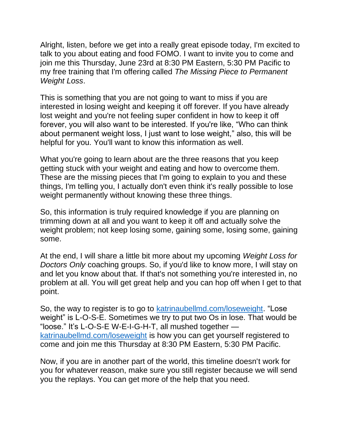Alright, listen, before we get into a really great episode today, I'm excited to talk to you about eating and food FOMO. I want to invite you to come and join me this Thursday, June 23rd at 8:30 PM Eastern, 5:30 PM Pacific to my free training that I'm offering called *The Missing Piece to Permanent Weight Loss*.

This is something that you are not going to want to miss if you are interested in losing weight and keeping it off forever. If you have already lost weight and you're not feeling super confident in how to keep it off forever, you will also want to be interested. If you're like, "Who can think about permanent weight loss, I just want to lose weight," also, this will be helpful for you. You'll want to know this information as well.

What you're going to learn about are the three reasons that you keep getting stuck with your weight and eating and how to overcome them. These are the missing pieces that I'm going to explain to you and these things, I'm telling you, I actually don't even think it's really possible to lose weight permanently without knowing these three things.

So, this information is truly required knowledge if you are planning on trimming down at all and you want to keep it off and actually solve the weight problem; not keep losing some, gaining some, losing some, gaining some.

At the end, I will share a little bit more about my upcoming *Weight Loss for Doctors Only* coaching groups. So, if you'd like to know more, I will stay on and let you know about that. If that's not something you're interested in, no problem at all. You will get great help and you can hop off when I get to that point.

So, the way to register is to go to [katrinaubellmd.com/loseweight.](https://katrinaubellmd.pages.ontraport.net/training-jun232022?utm_campaign=wldo&utm_medium=podcast&utm_source=katrinaubellmd.com) "Lose weight" is L-O-S-E. Sometimes we try to put two Os in lose. That would be "loose." It's L-O-S-E W-E-I-G-H-T, all mushed together [katrinaubellmd.com/loseweight](https://katrinaubellmd.pages.ontraport.net/training-jun232022?utm_campaign=wldo&utm_medium=podcast&utm_source=katrinaubellmd.com) is how you can get yourself registered to come and join me this Thursday at 8:30 PM Eastern, 5:30 PM Pacific.

Now, if you are in another part of the world, this timeline doesn't work for you for whatever reason, make sure you still register because we will send you the replays. You can get more of the help that you need.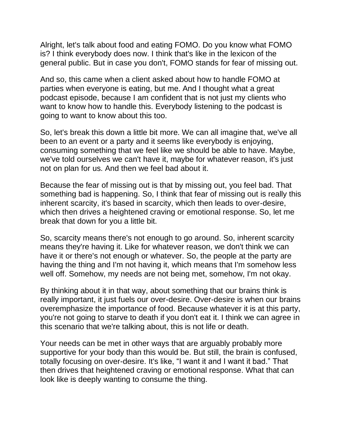Alright, let's talk about food and eating FOMO. Do you know what FOMO is? I think everybody does now. I think that's like in the lexicon of the general public. But in case you don't, FOMO stands for fear of missing out.

And so, this came when a client asked about how to handle FOMO at parties when everyone is eating, but me. And I thought what a great podcast episode, because I am confident that is not just my clients who want to know how to handle this. Everybody listening to the podcast is going to want to know about this too.

So, let's break this down a little bit more. We can all imagine that, we've all been to an event or a party and it seems like everybody is enjoying, consuming something that we feel like we should be able to have. Maybe, we've told ourselves we can't have it, maybe for whatever reason, it's just not on plan for us. And then we feel bad about it.

Because the fear of missing out is that by missing out, you feel bad. That something bad is happening. So, I think that fear of missing out is really this inherent scarcity, it's based in scarcity, which then leads to over-desire, which then drives a heightened craving or emotional response. So, let me break that down for you a little bit.

So, scarcity means there's not enough to go around. So, inherent scarcity means they're having it. Like for whatever reason, we don't think we can have it or there's not enough or whatever. So, the people at the party are having the thing and I'm not having it, which means that I'm somehow less well off. Somehow, my needs are not being met, somehow, I'm not okay.

By thinking about it in that way, about something that our brains think is really important, it just fuels our over-desire. Over-desire is when our brains overemphasize the importance of food. Because whatever it is at this party, you're not going to starve to death if you don't eat it. I think we can agree in this scenario that we're talking about, this is not life or death.

Your needs can be met in other ways that are arguably probably more supportive for your body than this would be. But still, the brain is confused, totally focusing on over-desire. It's like, "I want it and I want it bad." That then drives that heightened craving or emotional response. What that can look like is deeply wanting to consume the thing.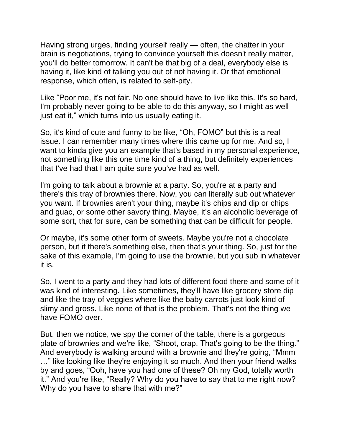Having strong urges, finding yourself really — often, the chatter in your brain is negotiations, trying to convince yourself this doesn't really matter, you'll do better tomorrow. It can't be that big of a deal, everybody else is having it, like kind of talking you out of not having it. Or that emotional response, which often, is related to self-pity.

Like "Poor me, it's not fair. No one should have to live like this. It's so hard, I'm probably never going to be able to do this anyway, so I might as well just eat it," which turns into us usually eating it.

So, it's kind of cute and funny to be like, "Oh, FOMO" but this is a real issue. I can remember many times where this came up for me. And so, I want to kinda give you an example that's based in my personal experience, not something like this one time kind of a thing, but definitely experiences that I've had that I am quite sure you've had as well.

I'm going to talk about a brownie at a party. So, you're at a party and there's this tray of brownies there. Now, you can literally sub out whatever you want. If brownies aren't your thing, maybe it's chips and dip or chips and guac, or some other savory thing. Maybe, it's an alcoholic beverage of some sort, that for sure, can be something that can be difficult for people.

Or maybe, it's some other form of sweets. Maybe you're not a chocolate person, but if there's something else, then that's your thing. So, just for the sake of this example, I'm going to use the brownie, but you sub in whatever it is.

So, I went to a party and they had lots of different food there and some of it was kind of interesting. Like sometimes, they'll have like grocery store dip and like the tray of veggies where like the baby carrots just look kind of slimy and gross. Like none of that is the problem. That's not the thing we have FOMO over.

But, then we notice, we spy the corner of the table, there is a gorgeous plate of brownies and we're like, "Shoot, crap. That's going to be the thing." And everybody is walking around with a brownie and they're going, "Mmm …" like looking like they're enjoying it so much. And then your friend walks by and goes, "Ooh, have you had one of these? Oh my God, totally worth it." And you're like, "Really? Why do you have to say that to me right now? Why do you have to share that with me?"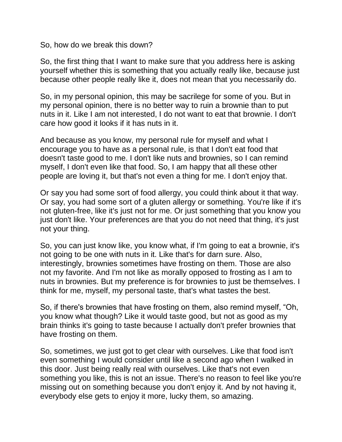So, how do we break this down?

So, the first thing that I want to make sure that you address here is asking yourself whether this is something that you actually really like, because just because other people really like it, does not mean that you necessarily do.

So, in my personal opinion, this may be sacrilege for some of you. But in my personal opinion, there is no better way to ruin a brownie than to put nuts in it. Like I am not interested, I do not want to eat that brownie. I don't care how good it looks if it has nuts in it.

And because as you know, my personal rule for myself and what I encourage you to have as a personal rule, is that I don't eat food that doesn't taste good to me. I don't like nuts and brownies, so I can remind myself, I don't even like that food. So, I am happy that all these other people are loving it, but that's not even a thing for me. I don't enjoy that.

Or say you had some sort of food allergy, you could think about it that way. Or say, you had some sort of a gluten allergy or something. You're like if it's not gluten-free, like it's just not for me. Or just something that you know you just don't like. Your preferences are that you do not need that thing, it's just not your thing.

So, you can just know like, you know what, if I'm going to eat a brownie, it's not going to be one with nuts in it. Like that's for darn sure. Also, interestingly, brownies sometimes have frosting on them. Those are also not my favorite. And I'm not like as morally opposed to frosting as I am to nuts in brownies. But my preference is for brownies to just be themselves. I think for me, myself, my personal taste, that's what tastes the best.

So, if there's brownies that have frosting on them, also remind myself, "Oh, you know what though? Like it would taste good, but not as good as my brain thinks it's going to taste because I actually don't prefer brownies that have frosting on them.

So, sometimes, we just got to get clear with ourselves. Like that food isn't even something I would consider until like a second ago when I walked in this door. Just being really real with ourselves. Like that's not even something you like, this is not an issue. There's no reason to feel like you're missing out on something because you don't enjoy it. And by not having it, everybody else gets to enjoy it more, lucky them, so amazing.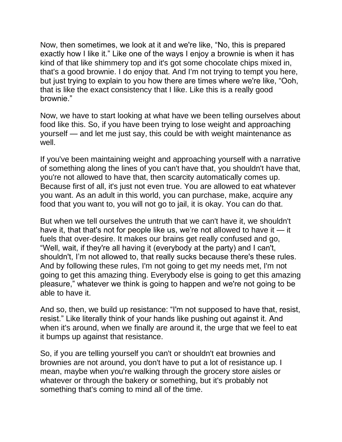Now, then sometimes, we look at it and we're like, "No, this is prepared exactly how I like it." Like one of the ways I enjoy a brownie is when it has kind of that like shimmery top and it's got some chocolate chips mixed in, that's a good brownie. I do enjoy that. And I'm not trying to tempt you here, but just trying to explain to you how there are times where we're like, "Ooh, that is like the exact consistency that I like. Like this is a really good brownie."

Now, we have to start looking at what have we been telling ourselves about food like this. So, if you have been trying to lose weight and approaching yourself — and let me just say, this could be with weight maintenance as well.

If you've been maintaining weight and approaching yourself with a narrative of something along the lines of you can't have that, you shouldn't have that, you're not allowed to have that, then scarcity automatically comes up. Because first of all, it's just not even true. You are allowed to eat whatever you want. As an adult in this world, you can purchase, make, acquire any food that you want to, you will not go to jail, it is okay. You can do that.

But when we tell ourselves the untruth that we can't have it, we shouldn't have it, that that's not for people like us, we're not allowed to have it — it fuels that over-desire. It makes our brains get really confused and go, "Well, wait, if they're all having it (everybody at the party) and I can't, shouldn't, I'm not allowed to, that really sucks because there's these rules. And by following these rules, I'm not going to get my needs met, I'm not going to get this amazing thing. Everybody else is going to get this amazing pleasure," whatever we think is going to happen and we're not going to be able to have it.

And so, then, we build up resistance: "I'm not supposed to have that, resist, resist." Like literally think of your hands like pushing out against it. And when it's around, when we finally are around it, the urge that we feel to eat it bumps up against that resistance.

So, if you are telling yourself you can't or shouldn't eat brownies and brownies are not around, you don't have to put a lot of resistance up. I mean, maybe when you're walking through the grocery store aisles or whatever or through the bakery or something, but it's probably not something that's coming to mind all of the time.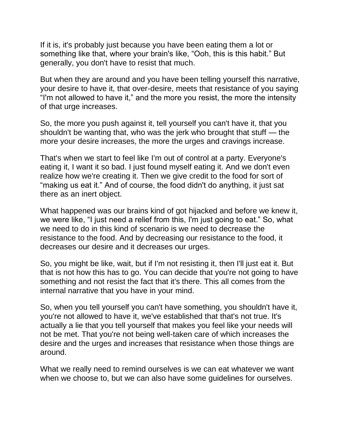If it is, it's probably just because you have been eating them a lot or something like that, where your brain's like, "Ooh, this is this habit." But generally, you don't have to resist that much.

But when they are around and you have been telling yourself this narrative, your desire to have it, that over-desire, meets that resistance of you saying "I'm not allowed to have it," and the more you resist, the more the intensity of that urge increases.

So, the more you push against it, tell yourself you can't have it, that you shouldn't be wanting that, who was the jerk who brought that stuff — the more your desire increases, the more the urges and cravings increase.

That's when we start to feel like I'm out of control at a party. Everyone's eating it, I want it so bad. I just found myself eating it. And we don't even realize how we're creating it. Then we give credit to the food for sort of "making us eat it." And of course, the food didn't do anything, it just sat there as an inert object.

What happened was our brains kind of got hijacked and before we knew it, we were like, "I just need a relief from this, I'm just going to eat." So, what we need to do in this kind of scenario is we need to decrease the resistance to the food. And by decreasing our resistance to the food, it decreases our desire and it decreases our urges.

So, you might be like, wait, but if I'm not resisting it, then I'll just eat it. But that is not how this has to go. You can decide that you're not going to have something and not resist the fact that it's there. This all comes from the internal narrative that you have in your mind.

So, when you tell yourself you can't have something, you shouldn't have it, you're not allowed to have it, we've established that that's not true. It's actually a lie that you tell yourself that makes you feel like your needs will not be met. That you're not being well-taken care of which increases the desire and the urges and increases that resistance when those things are around.

What we really need to remind ourselves is we can eat whatever we want when we choose to, but we can also have some guidelines for ourselves.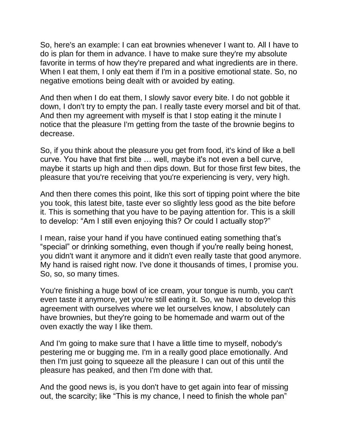So, here's an example: I can eat brownies whenever I want to. All I have to do is plan for them in advance. I have to make sure they're my absolute favorite in terms of how they're prepared and what ingredients are in there. When I eat them, I only eat them if I'm in a positive emotional state. So, no negative emotions being dealt with or avoided by eating.

And then when I do eat them, I slowly savor every bite. I do not gobble it down, I don't try to empty the pan. I really taste every morsel and bit of that. And then my agreement with myself is that I stop eating it the minute I notice that the pleasure I'm getting from the taste of the brownie begins to decrease.

So, if you think about the pleasure you get from food, it's kind of like a bell curve. You have that first bite … well, maybe it's not even a bell curve, maybe it starts up high and then dips down. But for those first few bites, the pleasure that you're receiving that you're experiencing is very, very high.

And then there comes this point, like this sort of tipping point where the bite you took, this latest bite, taste ever so slightly less good as the bite before it. This is something that you have to be paying attention for. This is a skill to develop: "Am I still even enjoying this? Or could I actually stop?"

I mean, raise your hand if you have continued eating something that's "special" or drinking something, even though if you're really being honest, you didn't want it anymore and it didn't even really taste that good anymore. My hand is raised right now. I've done it thousands of times, I promise you. So, so, so many times.

You're finishing a huge bowl of ice cream, your tongue is numb, you can't even taste it anymore, yet you're still eating it. So, we have to develop this agreement with ourselves where we let ourselves know, I absolutely can have brownies, but they're going to be homemade and warm out of the oven exactly the way I like them.

And I'm going to make sure that I have a little time to myself, nobody's pestering me or bugging me. I'm in a really good place emotionally. And then I'm just going to squeeze all the pleasure I can out of this until the pleasure has peaked, and then I'm done with that.

And the good news is, is you don't have to get again into fear of missing out, the scarcity; like "This is my chance, I need to finish the whole pan"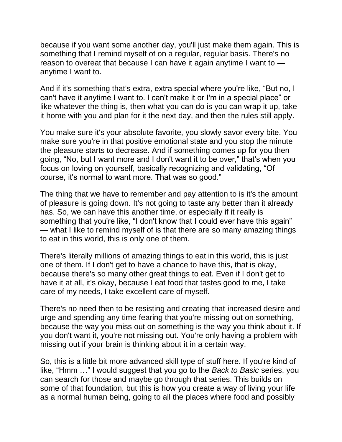because if you want some another day, you'll just make them again. This is something that I remind myself of on a regular, regular basis. There's no reason to overeat that because I can have it again anytime I want to anytime I want to.

And if it's something that's extra, extra special where you're like, "But no, I can't have it anytime I want to. I can't make it or I'm in a special place" or like whatever the thing is, then what you can do is you can wrap it up, take it home with you and plan for it the next day, and then the rules still apply.

You make sure it's your absolute favorite, you slowly savor every bite. You make sure you're in that positive emotional state and you stop the minute the pleasure starts to decrease. And if something comes up for you then going, "No, but I want more and I don't want it to be over," that's when you focus on loving on yourself, basically recognizing and validating, "Of course, it's normal to want more. That was so good."

The thing that we have to remember and pay attention to is it's the amount of pleasure is going down. It's not going to taste any better than it already has. So, we can have this another time, or especially if it really is something that you're like, "I don't know that I could ever have this again" — what I like to remind myself of is that there are so many amazing things to eat in this world, this is only one of them.

There's literally millions of amazing things to eat in this world, this is just one of them. If I don't get to have a chance to have this, that is okay, because there's so many other great things to eat. Even if I don't get to have it at all, it's okay, because I eat food that tastes good to me, I take care of my needs, I take excellent care of myself.

There's no need then to be resisting and creating that increased desire and urge and spending any time fearing that you're missing out on something, because the way you miss out on something is the way you think about it. If you don't want it, you're not missing out. You're only having a problem with missing out if your brain is thinking about it in a certain way.

So, this is a little bit more advanced skill type of stuff here. If you're kind of like, "Hmm …" I would suggest that you go to the *Back to Basic* series, you can search for those and maybe go through that series. This builds on some of that foundation, but this is how you create a way of living your life as a normal human being, going to all the places where food and possibly